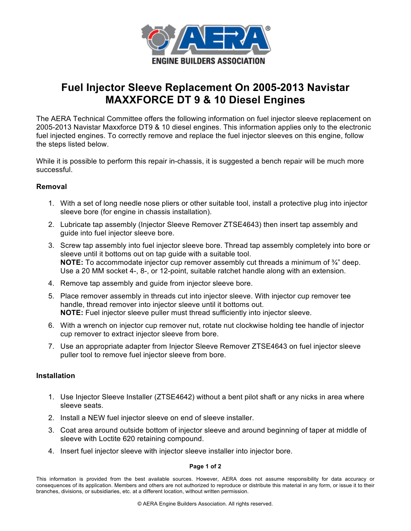

# **Fuel Injector Sleeve Replacement On 2005-2013 Navistar MAXXFORCE DT 9 & 10 Diesel Engines**

The AERA Technical Committee offers the following information on fuel injector sleeve replacement on 2005-2013 Navistar Maxxforce DT9 & 10 diesel engines. This information applies only to the electronic fuel injected engines. To correctly remove and replace the fuel injector sleeves on this engine, follow the steps listed below.

While it is possible to perform this repair in-chassis, it is suggested a bench repair will be much more successful.

## **Removal**

- 1. With a set of long needle nose pliers or other suitable tool, install a protective plug into injector sleeve bore (for engine in chassis installation).
- 2. Lubricate tap assembly (Injector Sleeve Remover ZTSE4643) then insert tap assembly and guide into fuel injector sleeve bore.
- 3. Screw tap assembly into fuel injector sleeve bore. Thread tap assembly completely into bore or sleeve until it bottoms out on tap guide with a suitable tool. **NOTE:** To accommodate injector cup remover assembly cut threads a minimum of  $\frac{3}{4}$ " deep. Use a 20 MM socket 4-, 8-, or 12-point, suitable ratchet handle along with an extension.
- 4. Remove tap assembly and guide from injector sleeve bore.
- 5. Place remover assembly in threads cut into injector sleeve. With injector cup remover tee handle, thread remover into injector sleeve until it bottoms out. **NOTE:** Fuel injector sleeve puller must thread sufficiently into injector sleeve.
- 6. With a wrench on injector cup remover nut, rotate nut clockwise holding tee handle of injector cup remover to extract injector sleeve from bore.
- 7. Use an appropriate adapter from Injector Sleeve Remover ZTSE4643 on fuel injector sleeve puller tool to remove fuel injector sleeve from bore.

### **Installation**

- 1. Use Injector Sleeve Installer (ZTSE4642) without a bent pilot shaft or any nicks in area where sleeve seats.
- 2. Install a NEW fuel injector sleeve on end of sleeve installer.
- 3. Coat area around outside bottom of injector sleeve and around beginning of taper at middle of sleeve with Loctite 620 retaining compound.
- 4. Insert fuel injector sleeve with injector sleeve installer into injector bore.

#### **Page 1 of 2**

This information is provided from the best available sources. However, AERA does not assume responsibility for data accuracy or consequences of its application. Members and others are not authorized to reproduce or distribute this material in any form, or issue it to their branches, divisions, or subsidiaries, etc. at a different location, without written permission.